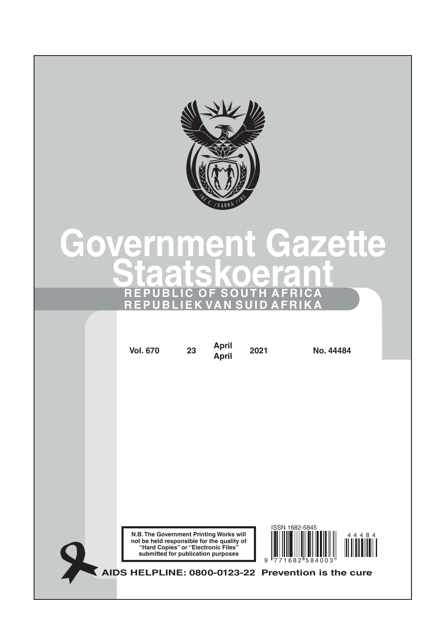

# **Government Gazette Staatskoerant REPUBLIC OF SOUTH AFRICA REPUBLIEK VAN SUID AFRIKA**

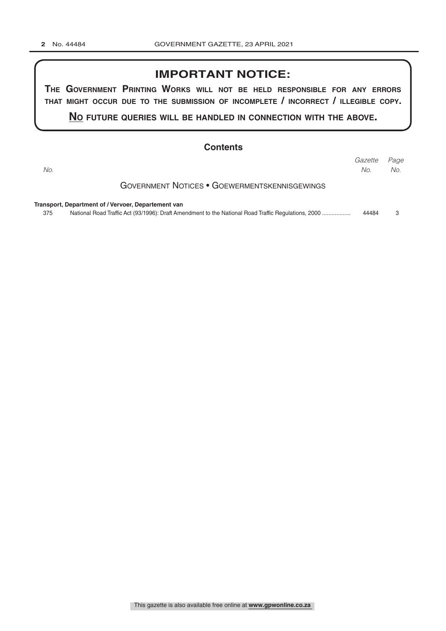## **IMPORTANT NOTICE:**

**The GovernmenT PrinTinG Works Will noT be held resPonsible for any errors ThaT miGhT occur due To The submission of incomPleTe / incorrecT / illeGible coPy.**

**no fuTure queries Will be handled in connecTion WiTh The above.**

|     | <b>Contents</b>                                                                                     |                |             |
|-----|-----------------------------------------------------------------------------------------------------|----------------|-------------|
| No. |                                                                                                     | Gazette<br>No. | Page<br>No. |
|     | <b>GOVERNMENT NOTICES • GOEWERMENTSKENNISGEWINGS</b>                                                |                |             |
|     | Transport, Department of / Vervoer, Departement van                                                 |                |             |
| 375 | National Road Traffic Act (93/1996): Draft Amendment to the National Road Traffic Regulations, 2000 | 44484          |             |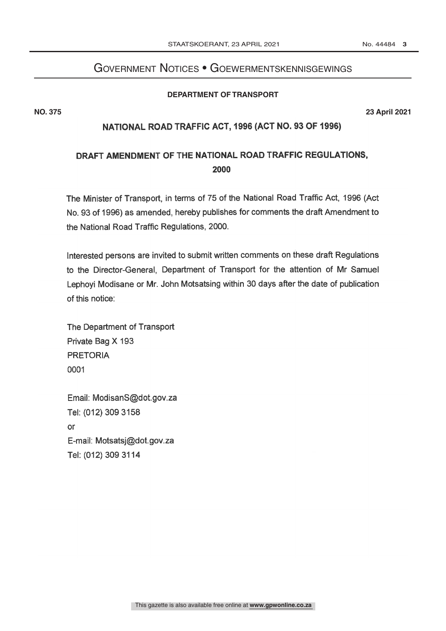# <span id="page-2-0"></span>Government Notices • Goewermentskennisgewings

#### **DEPARTMENT OF TRANSPORT**

**NO. 375 23 April 2021**

## NATIONAL ROAD TRAFFIC ACT, 1996 (ACT NO. 93 OF 1996)

# DRAFT AMENDMENT OF THE NATIONAL ROAD TRAFFIC REGULATIONS, 2000

The Minister of Transport, in terms of 75 of the National Road Traffic Act, 1996 (Act No. 93 of 1996) as amended, hereby publishes for comments the draft Amendment to the National Road Traffic Regulations, 2000.

Interested persons are invited to submit written comments on these draft Regulations to the Director -General, Department of Transport for the attention of Mr Samuel Lephoyi Modisane or Mr. John Motsatsing within 30 days after the date of publication of this notice:

The Department of Transport Private Bag X 193 PRETORIA 0001

Email: ModisanS @dot.gov.za Tel: (012) 309 3158 or E-mail: Motsatsj@dot.gov.za Tel: (012) 309 3114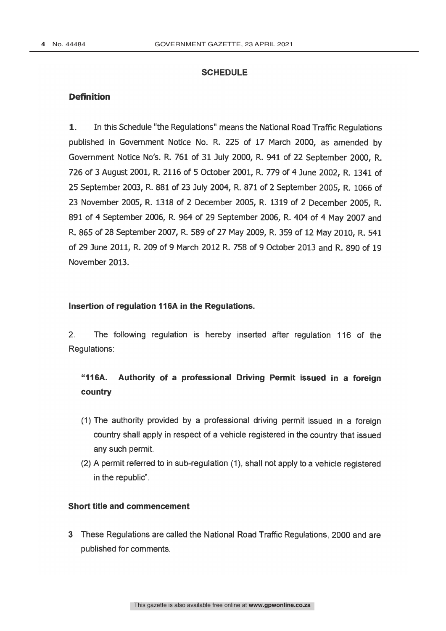### **SCHEDULE**

#### Definition

1. In this Schedule "the Regulations" means the National Road Traffic Regulations published in Government Notice No. R. 225 of 17 March 2000, as amended by Government Notice No's. R. 761 of 31 July 2000, R. 941 of 22 September 2000, R. 726 of 3 August 2001, R. 2116 of 5 October 2001, R. 779 of 4 June 2002, R. 1341 of 25 September 2003, R. 881 of 23 July 2004, R. 871 of 2 September 2005, R. 1066 of 23 November 2005, R. 1318 of 2 December 2005, R. 1319 of 2 December 2005, R. 891 of 4 September 2006, R. 964 of 29 September 2006, R. 404 of 4 May 2007 and R. 865 of 28 September 2007, R. 589 of 27 May 2009, R. 359 of 12 May 2010, R. 541 of 29 June 2011, R. 209 of 9 March 2012 R. 758 of 9 October 2013 and R. 890 of 19 November 2013.

#### Insertion of regulation 116A in the Regulations.

2. The following regulation is hereby inserted after regulation 116 of the Regulations:

## "116A. Authority of a professional Driving Permit issued in a foreign country

- (1) The authority provided by a professional driving permit issued in a foreign country shall apply in respect of a vehicle registered in the country that issued any such permit.
- (2) A permit referred to in sub -regulation (1), shall not apply to a vehicle registered in the republic".

## Short title and commencement

3 These Regulations are called the National Road Traffic Regulations, 2000 and are published for comments.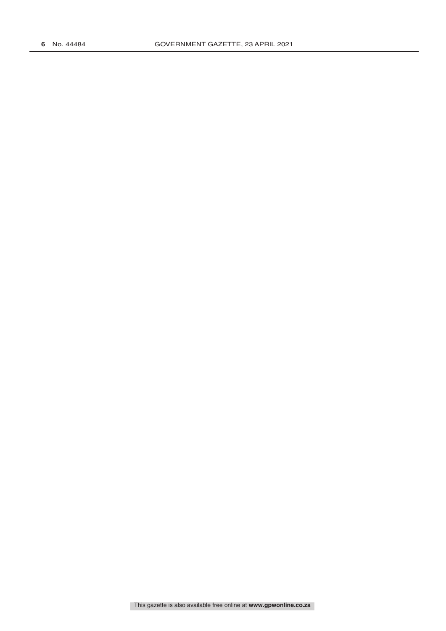This gazette is also available free online at **www.gpwonline.co.za**